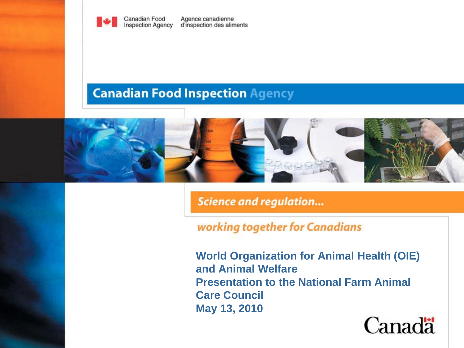

#### **Canadian Food Inspection Agency**



**Science and regulation...** 

#### working together for Canadians

**World Organization for Animal Health (OIE) and Animal Welfare Presentation to the National Farm Animal Care Council May 13, 2010**

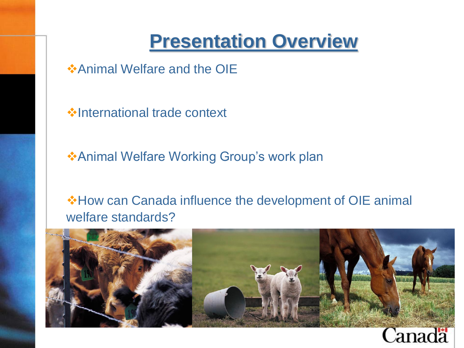#### **Presentation Overview**

**Animal Welfare and the OIE** 

**V**• International trade context

**\*Animal Welfare Working Group's work plan** 

**\*How can Canada influence the development of OIE animal** welfare standards?



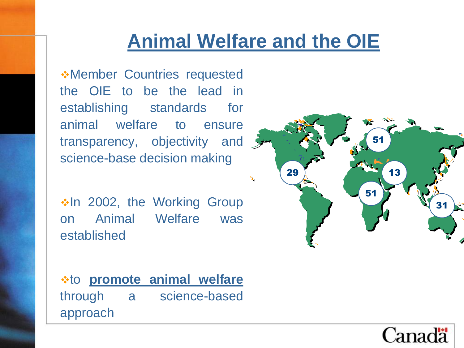Member Countries requested the OIE to be the lead in establishing standards for animal welfare to ensure transparency, objectivity and  $\mathcal{F}$ science-base decision making

\*In 2002, the Working Group on Animal Welfare was established

to **promote animal welfare** through a science-based approach



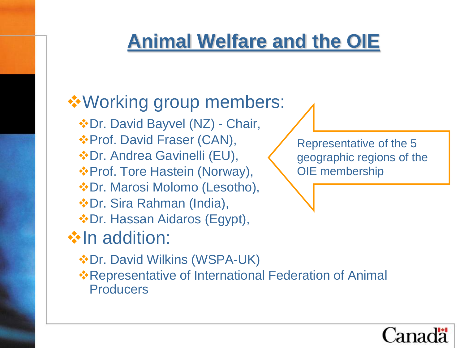#### **❖ Working group members:**

- Dr. David Bayvel (NZ) Chair,
- **\*Prof. David Fraser (CAN),**
- Dr. Andrea Gavinelli (EU),
- Prof. Tore Hastein (Norway),
- Dr. Marosi Molomo (Lesotho),
- Dr. Sira Rahman (India),
- Dr. Hassan Aidaros (Egypt),

### **Volution:**

- $\dots$ **Dr. David Wilkins (WSPA-UK)**
- **\***Representative of International Federation of Animal **Producers**

Representative of the 5 geographic regions of the OIE membership

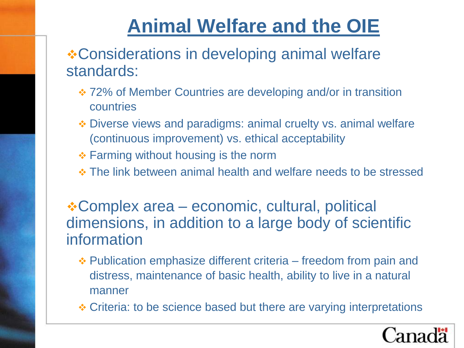Considerations in developing animal welfare standards:

- 72% of Member Countries are developing and/or in transition countries
- Diverse views and paradigms: animal cruelty vs. animal welfare (continuous improvement) vs. ethical acceptability
- $\div$  **Farming without housing is the norm**
- The link between animal health and welfare needs to be stressed

Complex area – economic, cultural, political dimensions, in addition to a large body of scientific information

- Publication emphasize different criteria freedom from pain and distress, maintenance of basic health, ability to live in a natural manner
- Criteria: to be science based but there are varying interpretations

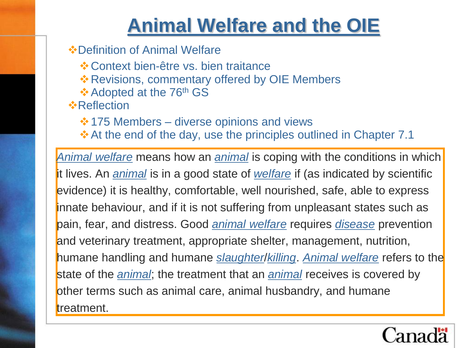- **☆ Definition of Animal Welfare** 
	- Context bien-être vs. bien traitance
	- \* Revisions, commentary offered by OIE Members
	- ❖ Adopted at the 76<sup>th</sup> GS
- **☆Reflection** 
	- $\cdot$  175 Members diverse opinions and views
	- $\triangle$  **At the end of the day, use the principles outlined in Chapter 7.1**

*[Animal welfare](http://www.oie.int/eng/normes/mcode/en_glossaire.htm)* means how an *[animal](http://www.oie.int/eng/normes/mcode/en_glossaire.htm)* is coping with the conditions in which it lives. An *[animal](http://www.oie.int/eng/normes/mcode/en_glossaire.htm)* is in a good state of *[welfare](http://www.oie.int/eng/normes/mcode/en_glossaire.htm)* if (as indicated by scientific evidence) it is healthy, comfortable, well nourished, safe, able to express innate behaviour, and if it is not suffering from unpleasant states such as pain, fear, and distress. Good *[animal welfare](http://www.oie.int/eng/normes/mcode/en_glossaire.htm)* requires *[disease](http://www.oie.int/eng/normes/mcode/en_glossaire.htm)* prevention and veterinary treatment, appropriate shelter, management, nutrition, humane handling and humane *[slaughter](http://www.oie.int/eng/normes/mcode/en_glossaire.htm)*/*[killing](http://www.oie.int/eng/normes/mcode/en_glossaire.htm)*. *[Animal welfare](http://www.oie.int/eng/normes/mcode/en_glossaire.htm)* refers to the state of the *[animal](http://www.oie.int/eng/normes/mcode/en_glossaire.htm)*; the treatment that an *[animal](http://www.oie.int/eng/normes/mcode/en_glossaire.htm)* receives is covered by other terms such as animal care, animal husbandry, and humane treatment.

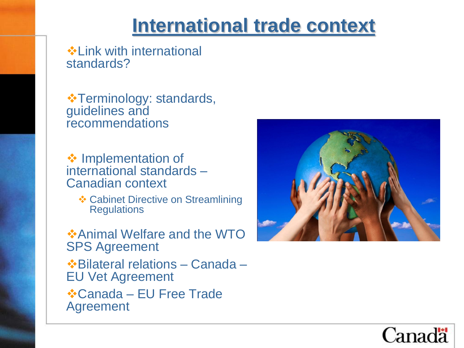#### **International trade context**

Link with international standards?

 $\cdot\cdot$  **Terminology: standards,** guidelines and recommendations

**❖ Implementation of** international standards – Canadian context

**❖ Cabinet Directive on Streamlining Regulations** 

**❖ Animal Welfare and the WTO** SPS Agreement Bilateral relations – Canada –

EU Vet Agreement

Canada – EU Free Trade Agreement



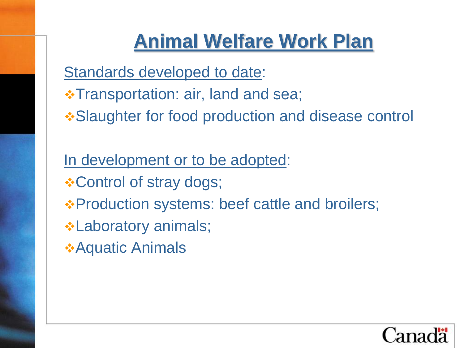# **Animal Welfare Work Plan**

Standards developed to date:

- **\*Transportation: air, land and sea;**
- **.• Slaughter for food production and disease control**

In development or to be adopted:  **Control of stray dogs; \*Production systems: beef cattle and broilers; • Laboratory animals**; Aquatic Animals

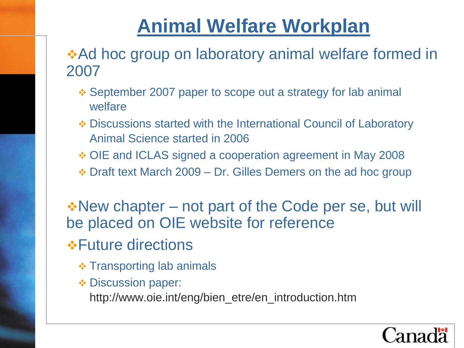# **Animal Welfare Workplan**

#### **Ad hoc group on laboratory animal welfare formed in** 2007

- September 2007 paper to scope out a strategy for lab animal welfare
- Discussions started with the International Council of Laboratory Animal Science started in 2006
- OIE and ICLAS signed a cooperation agreement in May 2008
- $\div$  Draft text March 2009 Dr. Gilles Demers on the ad hoc group

\*New chapter – not part of the Code per se, but will be placed on OIE website for reference

*❖***Future directions** 

- $\div$  Transporting lab animals
- **₺ Discussion paper:**

http://www.oie.int/eng/bien\_etre/en\_introduction.htm

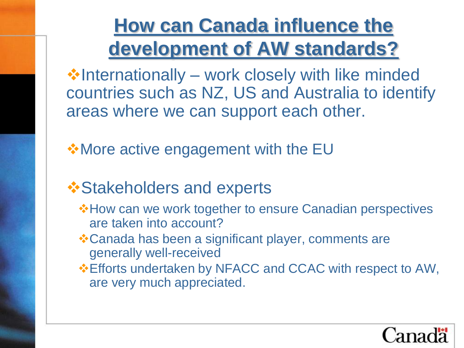# **How can Canada influence the development of AW standards?**

 $\cdot$  Internationally – work closely with like minded countries such as NZ, US and Australia to identify areas where we can support each other.

**W**ore active engagement with the EU

#### **❖ Stakeholders and experts**

- **\*How can we work together to ensure Canadian perspectives** are taken into account?
- Canada has been a significant player, comments are generally well-received
- Efforts undertaken by NFACC and CCAC with respect to AW, are very much appreciated.